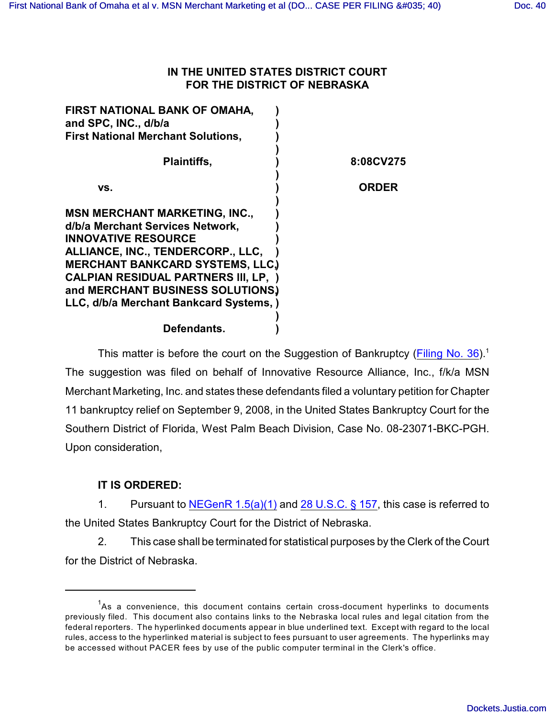## **IN THE UNITED STATES DISTRICT COURT FOR THE DISTRICT OF NEBRASKA**

| FIRST NATIONAL BANK OF OMAHA,<br>and SPC, INC., d/b/a |              |
|-------------------------------------------------------|--------------|
| <b>First National Merchant Solutions,</b>             |              |
| <b>Plaintiffs,</b>                                    | 8:08CV275    |
| VS.                                                   | <b>ORDER</b> |
| <b>MSN MERCHANT MARKETING, INC.,</b>                  |              |
| d/b/a Merchant Services Network,                      |              |
| <b>INNOVATIVE RESOURCE</b>                            |              |
| ALLIANCE, INC., TENDERCORP., LLC,                     |              |
| <b>MERCHANT BANKCARD SYSTEMS, LLC.)</b>               |              |
| <b>CALPIAN RESIDUAL PARTNERS III, LP, )</b>           |              |
| and MERCHANT BUSINESS SOLUTIONS.                      |              |
| LLC, d/b/a Merchant Bankcard Systems,)                |              |
|                                                       |              |
| Defendants.                                           |              |

This matter is before the court on the Suggestion of Bankruptcy [\(Filing No. 36](https://ecf.ned.uscourts.gov/doc1/11301537960)).<sup>1</sup> The suggestion was filed on behalf of Innovative Resource Alliance, Inc., f/k/a MSN Merchant Marketing, Inc. and states these defendants filed a voluntary petition for Chapter 11 bankruptcy relief on September 9, 2008, in the United States Bankruptcy Court for the Southern District of Florida, West Palm Beach Division, Case No. 08-23071-BKC-PGH. Upon consideration,

## **IT IS ORDERED:**

1. Pursuant to NEGenR  $1.5(a)(1)$  and  $28$  U.S.C. § 157, this case is referred to the United States Bankruptcy Court for the District of Nebraska.

2. This case shall be terminated for statistical purposes by the Clerk of the Court for the District of Nebraska.

 $A$ s a convenience, this document contains certain cross-document hyperlinks to documents previously filed. This document also contains links to the Nebraska local rules and legal citation from the federal reporters. The hyperlinked documents appear in blue underlined text. Except with regard to the local rules, access to the hyperlinked material is subject to fees pursuant to user agreements. The hyperlinks may be accessed without PACER fees by use of the public computer terminal in the Clerk's office.